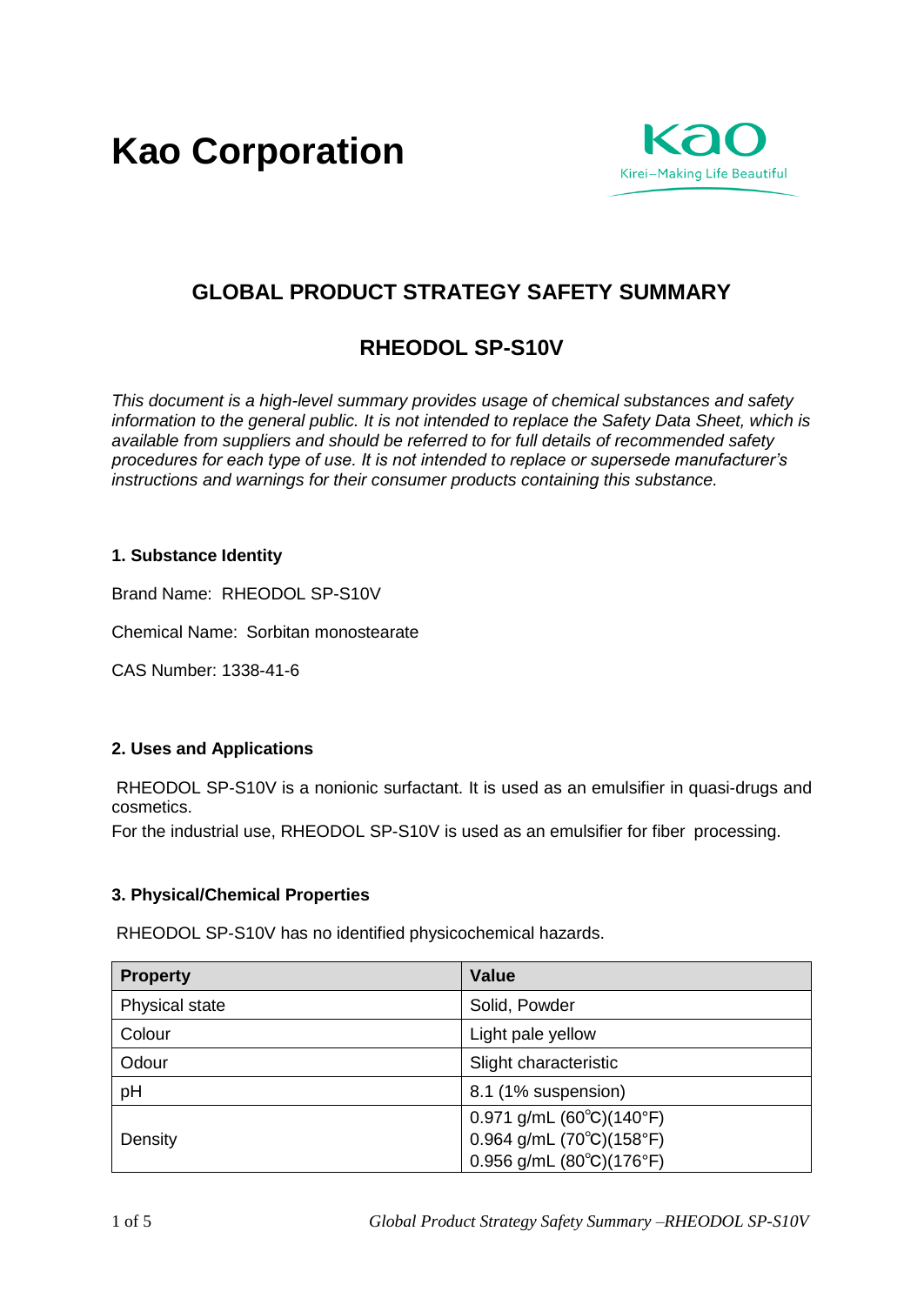**Kao Corporation**



# **GLOBAL PRODUCT STRATEGY SAFETY SUMMARY**

# **RHEODOL SP-S10V**

*This document is a high-level summary provides usage of chemical substances and safety information to the general public. It is not intended to replace the Safety Data Sheet, which is available from suppliers and should be referred to for full details of recommended safety procedures for each type of use. It is not intended to replace or supersede manufacturer's instructions and warnings for their consumer products containing this substance.* 

## **1. Substance Identity**

Brand Name: RHEODOL SP-S10V

Chemical Name: Sorbitan monostearate

CAS Number: 1338-41-6

#### **2. Uses and Applications**

RHEODOL SP-S10V is a nonionic surfactant. It is used as an emulsifier in quasi-drugs and cosmetics.

For the industrial use, RHEODOL SP-S10V is used as an emulsifier for fiber processing.

#### **3. Physical/Chemical Properties**

RHEODOL SP-S10V has no identified physicochemical hazards.

| <b>Property</b> | <b>Value</b>                                     |
|-----------------|--------------------------------------------------|
| Physical state  | Solid, Powder                                    |
| Colour          | Light pale yellow                                |
| Odour           | Slight characteristic                            |
| pH              | 8.1 (1% suspension)                              |
| Density         | $0.971$ g/mL $(60^{\circ}C)(140^{\circ}F)$       |
|                 | $0.964$ g/mL (70 $^{\circ}$ C)(158 $^{\circ}$ F) |
|                 | $0.956$ g/mL $(80^{\circ}C)(176^{\circ}F)$       |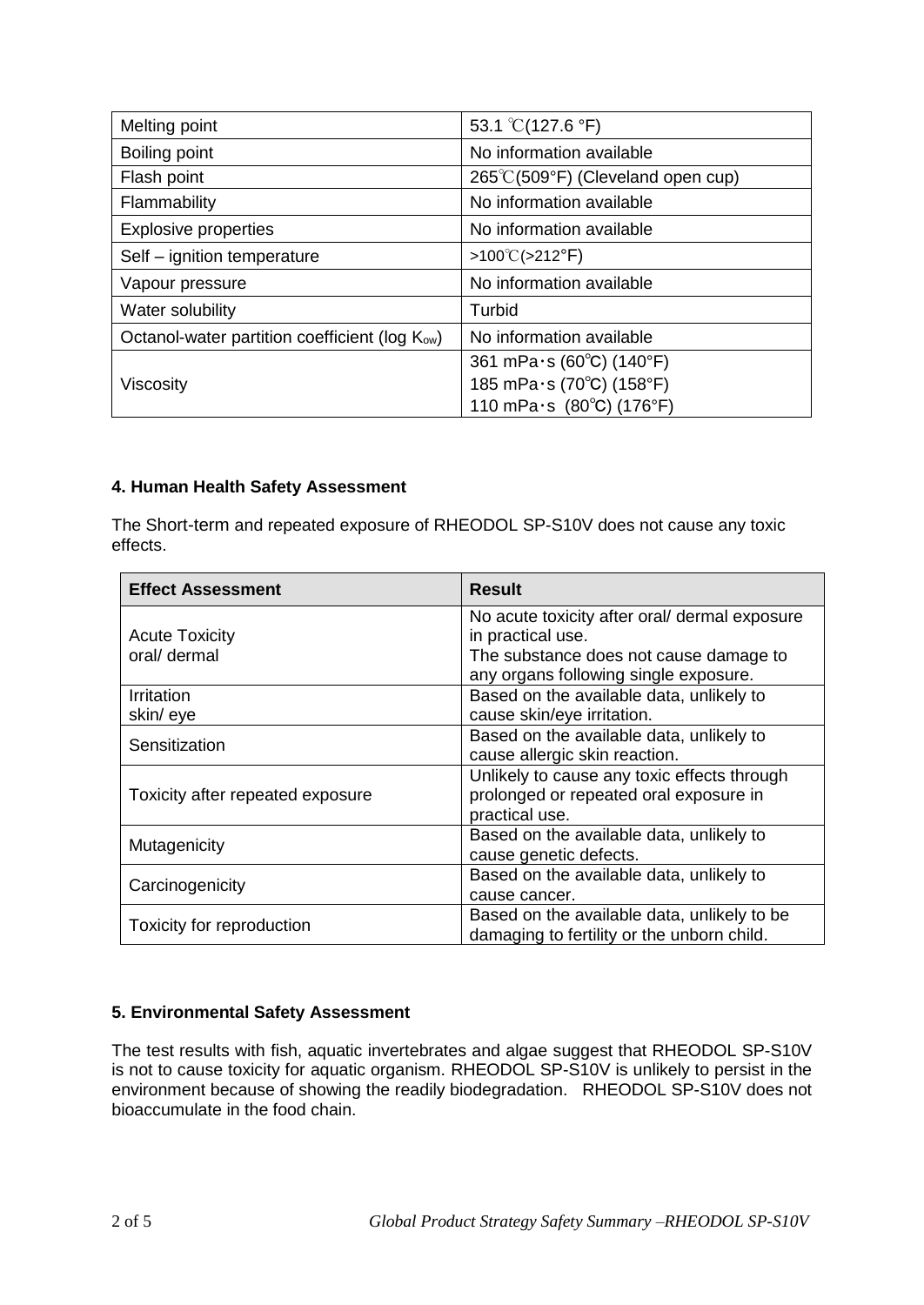| Melting point                                              | 53.1 $\degree$ C(127.6 $\degree$ F) |
|------------------------------------------------------------|-------------------------------------|
| Boiling point                                              | No information available            |
| Flash point                                                | 265°C(509°F) (Cleveland open cup)   |
| Flammability                                               | No information available            |
| <b>Explosive properties</b>                                | No information available            |
| Self - ignition temperature                                | $>100^{\circ}$ C( $>212^{\circ}$ F) |
| Vapour pressure                                            | No information available            |
| Water solubility                                           | Turbid                              |
| Octanol-water partition coefficient (log K <sub>ow</sub> ) | No information available            |
|                                                            | 361 mPa $\cdot$ s (60°C) (140°F)    |
| Viscosity                                                  | 185 mPa·s (70°C) (158°F)            |
|                                                            | 110 mPa $\cdot$ s (80°C) (176°F)    |

## **4. Human Health Safety Assessment**

The Short-term and repeated exposure of RHEODOL SP-S10V does not cause any toxic effects.

| <b>Effect Assessment</b>         | <b>Result</b>                                 |
|----------------------------------|-----------------------------------------------|
|                                  | No acute toxicity after oral/ dermal exposure |
| <b>Acute Toxicity</b>            | in practical use.                             |
| oral/ dermal                     | The substance does not cause damage to        |
|                                  | any organs following single exposure.         |
| <b>Irritation</b>                | Based on the available data, unlikely to      |
| skin/eye                         | cause skin/eye irritation.                    |
|                                  | Based on the available data, unlikely to      |
| Sensitization                    | cause allergic skin reaction.                 |
|                                  | Unlikely to cause any toxic effects through   |
| Toxicity after repeated exposure | prolonged or repeated oral exposure in        |
|                                  | practical use.                                |
| Mutagenicity                     | Based on the available data, unlikely to      |
|                                  | cause genetic defects.                        |
| Carcinogenicity                  | Based on the available data, unlikely to      |
|                                  | cause cancer.                                 |
|                                  | Based on the available data, unlikely to be   |
| Toxicity for reproduction        | damaging to fertility or the unborn child.    |

# **5. Environmental Safety Assessment**

The test results with fish, aquatic invertebrates and algae suggest that RHEODOL SP-S10V is not to cause toxicity for aquatic organism. RHEODOL SP-S10V is unlikely to persist in the environment because of showing the readily biodegradation. RHEODOL SP-S10V does not bioaccumulate in the food chain.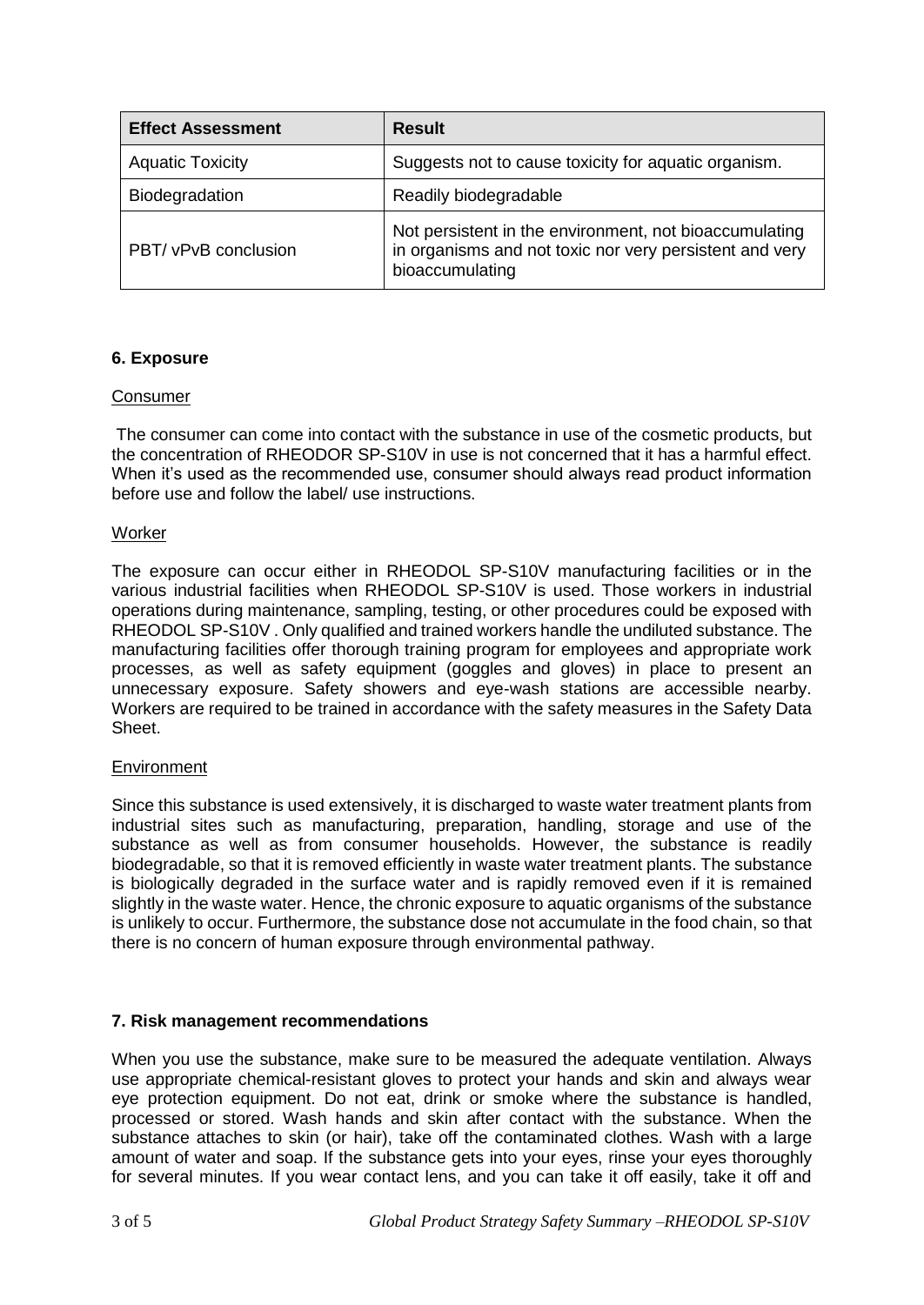| <b>Effect Assessment</b> | <b>Result</b>                                                                                                                        |
|--------------------------|--------------------------------------------------------------------------------------------------------------------------------------|
| <b>Aquatic Toxicity</b>  | Suggests not to cause toxicity for aquatic organism.                                                                                 |
| <b>Biodegradation</b>    | Readily biodegradable                                                                                                                |
| PBT/ vPvB conclusion     | Not persistent in the environment, not bioaccumulating<br>in organisms and not toxic nor very persistent and very<br>bioaccumulating |

## **6. Exposure**

#### **Consumer**

The consumer can come into contact with the substance in use of the cosmetic products, but the concentration of RHEODOR SP-S10V in use is not concerned that it has a harmful effect. When it's used as the recommended use, consumer should always read product information before use and follow the label/ use instructions.

#### Worker

The exposure can occur either in RHEODOL SP-S10V manufacturing facilities or in the various industrial facilities when RHEODOL SP-S10V is used. Those workers in industrial operations during maintenance, sampling, testing, or other procedures could be exposed with RHEODOL SP-S10V . Only qualified and trained workers handle the undiluted substance. The manufacturing facilities offer thorough training program for employees and appropriate work processes, as well as safety equipment (goggles and gloves) in place to present an unnecessary exposure. Safety showers and eye-wash stations are accessible nearby. Workers are required to be trained in accordance with the safety measures in the Safety Data Sheet.

#### Environment

Since this substance is used extensively, it is discharged to waste water treatment plants from industrial sites such as manufacturing, preparation, handling, storage and use of the substance as well as from consumer households. However, the substance is readily biodegradable, so that it is removed efficiently in waste water treatment plants. The substance is biologically degraded in the surface water and is rapidly removed even if it is remained slightly in the waste water. Hence, the chronic exposure to aquatic organisms of the substance is unlikely to occur. Furthermore, the substance dose not accumulate in the food chain, so that there is no concern of human exposure through environmental pathway.

#### **7. Risk management recommendations**

When you use the substance, make sure to be measured the adequate ventilation. Always use appropriate chemical-resistant gloves to protect your hands and skin and always wear eye protection equipment. Do not eat, drink or smoke where the substance is handled, processed or stored. Wash hands and skin after contact with the substance. When the substance attaches to skin (or hair), take off the contaminated clothes. Wash with a large amount of water and soap. If the substance gets into your eyes, rinse your eyes thoroughly for several minutes. If you wear contact lens, and you can take it off easily, take it off and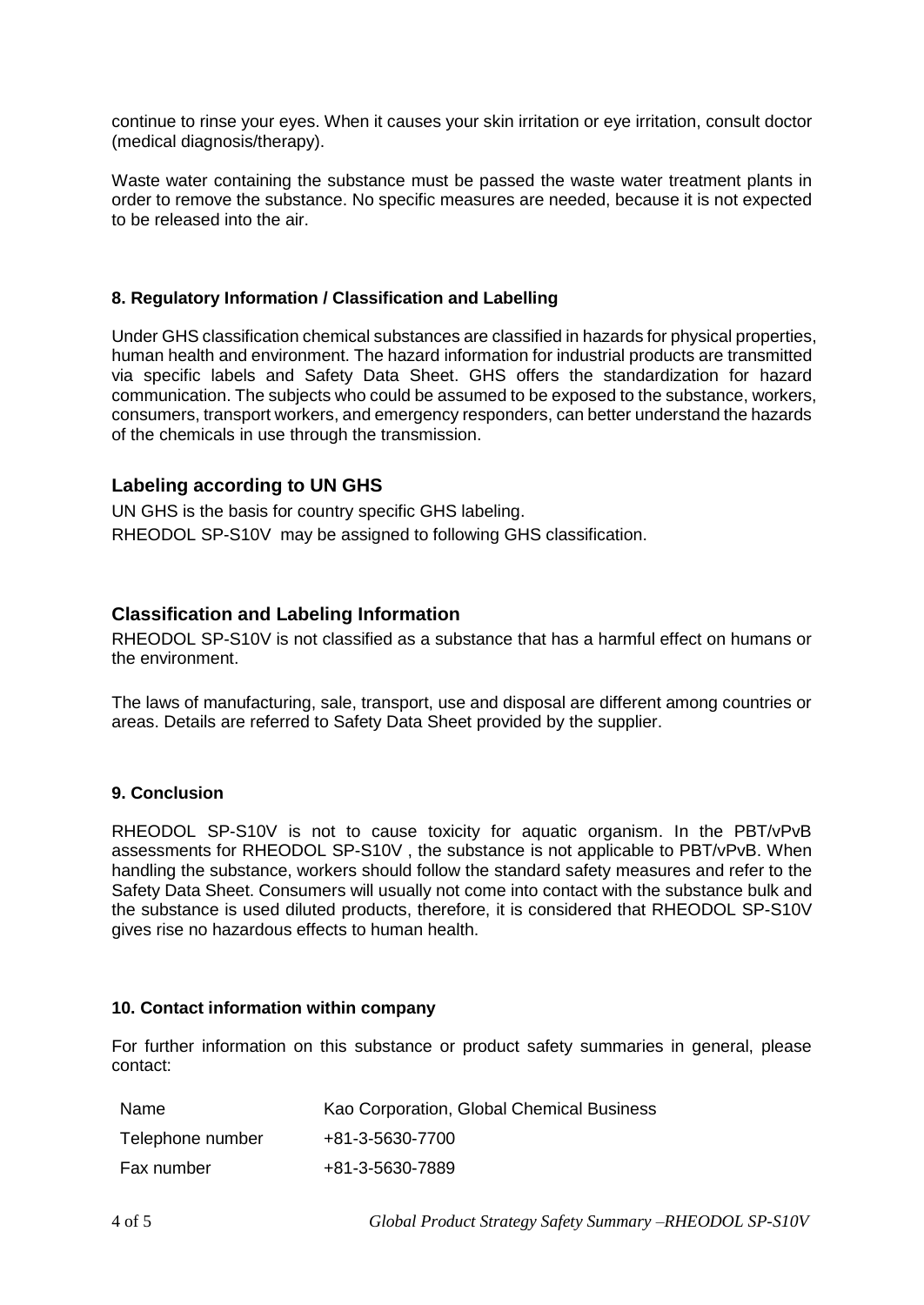continue to rinse your eyes. When it causes your skin irritation or eye irritation, consult doctor (medical diagnosis/therapy).

Waste water containing the substance must be passed the waste water treatment plants in order to remove the substance. No specific measures are needed, because it is not expected to be released into the air.

#### **8. Regulatory Information / Classification and Labelling**

Under GHS classification chemical substances are classified in hazards for physical properties, human health and environment. The hazard information for industrial products are transmitted via specific labels and Safety Data Sheet. GHS offers the standardization for hazard communication. The subjects who could be assumed to be exposed to the substance, workers, consumers, transport workers, and emergency responders, can better understand the hazards of the chemicals in use through the transmission.

#### **Labeling according to UN GHS**

UN GHS is the basis for country specific GHS labeling. RHEODOL SP-S10V may be assigned to following GHS classification.

## **Classification and Labeling Information**

RHEODOL SP-S10V is not classified as a substance that has a harmful effect on humans or the environment.

The laws of manufacturing, sale, transport, use and disposal are different among countries or areas. Details are referred to Safety Data Sheet provided by the supplier.

#### **9. Conclusion**

RHEODOL SP-S10V is not to cause toxicity for aquatic organism. In the PBT/vPvB assessments for RHEODOL SP-S10V , the substance is not applicable to PBT/vPvB. When handling the substance, workers should follow the standard safety measures and refer to the Safety Data Sheet. Consumers will usually not come into contact with the substance bulk and the substance is used diluted products, therefore, it is considered that RHEODOL SP-S10V gives rise no hazardous effects to human health.

#### **10. Contact information within company**

For further information on this substance or product safety summaries in general, please contact:

| Name             | Kao Corporation, Global Chemical Business |
|------------------|-------------------------------------------|
| Telephone number | +81-3-5630-7700                           |
| Fax number       | +81-3-5630-7889                           |